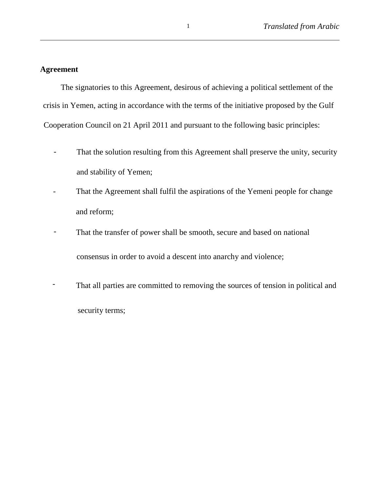## **Agreement**

The signatories to this Agreement, desirous of achieving a political settlement of the crisis in Yemen, acting in accordance with the terms of the initiative proposed by the Gulf Cooperation Council on 21 April 2011 and pursuant to the following basic principles:

- That the solution resulting from this Agreement shall preserve the unity, security and stability of Yemen;
- That the Agreement shall fulfil the aspirations of the Yemeni people for change and reform;
- That the transfer of power shall be smooth, secure and based on national consensus in order to avoid a descent into anarchy and violence;
- That all parties are committed to removing the sources of tension in political and security terms;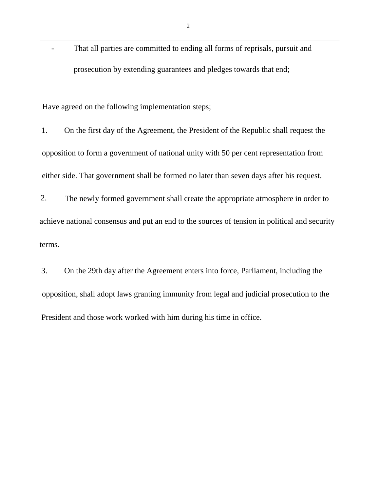- That all parties are committed to ending all forms of reprisals, pursuit and prosecution by extending guarantees and pledges towards that end;

Have agreed on the following implementation steps;

1. On the first day of the Agreement, the President of the Republic shall request the opposition to form a government of national unity with 50 per cent representation from either side. That government shall be formed no later than seven days after his request.

2. The newly formed government shall create the appropriate atmosphere in order to achieve national consensus and put an end to the sources of tension in political and security terms.

3. On the 29th day after the Agreement enters into force, Parliament, including the opposition, shall adopt laws granting immunity from legal and judicial prosecution to the President and those work worked with him during his time in office.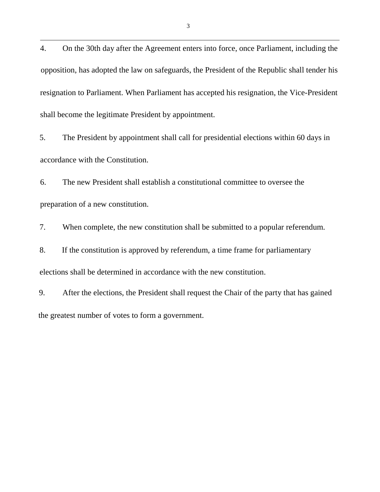4. On the 30th day after the Agreement enters into force, once Parliament, including the opposition, has adopted the law on safeguards, the President of the Republic shall tender his resignation to Parliament. When Parliament has accepted his resignation, the Vice-President shall become the legitimate President by appointment.

5. The President by appointment shall call for presidential elections within 60 days in accordance with the Constitution.

6. The new President shall establish a constitutional committee to oversee the preparation of a new constitution.

7. When complete, the new constitution shall be submitted to a popular referendum.

8. If the constitution is approved by referendum, a time frame for parliamentary elections shall be determined in accordance with the new constitution.

9. After the elections, the President shall request the Chair of the party that has gained the greatest number of votes to form a government.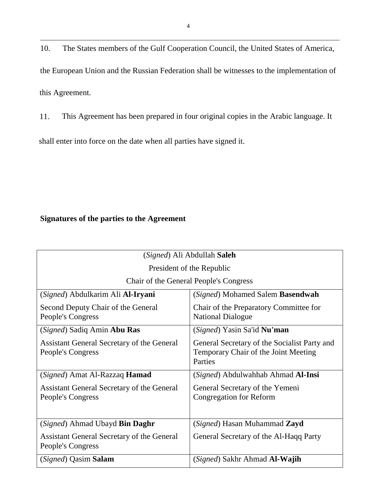10. The States members of the Gulf Cooperation Council, the United States of America, the European Union and the Russian Federation shall be witnesses to the implementation of this Agreement.

11. This Agreement has been prepared in four original copies in the Arabic language. It shall enter into force on the date when all parties have signed it.

## **Signatures of the parties to the Agreement**

| (Signed) Ali Abdullah Saleh                                     |                                                                                                 |
|-----------------------------------------------------------------|-------------------------------------------------------------------------------------------------|
| President of the Republic                                       |                                                                                                 |
| Chair of the General People's Congress                          |                                                                                                 |
| (Signed) Abdulkarim Ali <b>Al-Iryani</b>                        | (Signed) Mohamed Salem Basendwah                                                                |
| Second Deputy Chair of the General<br>People's Congress         | Chair of the Preparatory Committee for<br><b>National Dialogue</b>                              |
| (Signed) Sadiq Amin Abu Ras                                     | (Signed) Yasin Sa'id Nu'man                                                                     |
| Assistant General Secretary of the General<br>People's Congress | General Secretary of the Socialist Party and<br>Temporary Chair of the Joint Meeting<br>Parties |
| (Signed) Amat Al-Razzaq <b>Hamad</b>                            | (Signed) Abdulwahhab Ahmad <b>Al-Insi</b>                                                       |
| Assistant General Secretary of the General<br>People's Congress | General Secretary of the Yemeni<br><b>Congregation for Reform</b>                               |
| (Signed) Ahmad Ubayd Bin Daghr                                  | (Signed) Hasan Muhammad Zayd                                                                    |
| Assistant General Secretary of the General<br>People's Congress | General Secretary of the Al-Haqq Party                                                          |
| (Signed) Qasim Salam                                            | (Signed) Sakhr Ahmad Al-Wajih                                                                   |